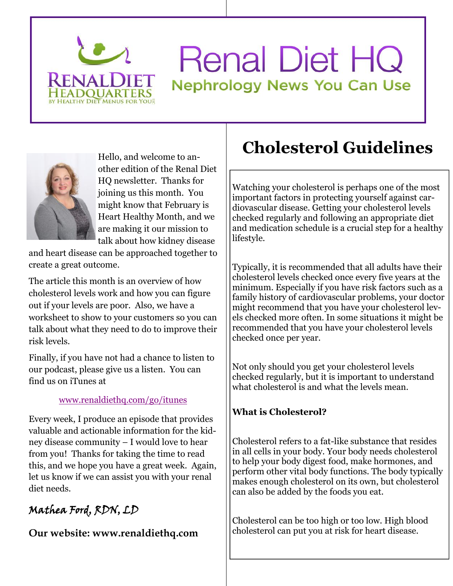

# **Renal Diet HQ Nephrology News You Can Use**



other edition of the Renal Diet HQ newsletter. Thanks for joining us this month. You might know that February is Heart Healthy Month, and we are making it our mission to talk about how kidney disease

and heart disease can be approached together to create a great outcome.

The article this month is an overview of how cholesterol levels work and how you can figure out if your levels are poor. Also, we have a worksheet to show to your customers so you can talk about what they need to do to improve their risk levels.

Finally, if you have not had a chance to listen to our podcast, please give us a listen. You can find us on iTunes at

## www.renaldiethq.com/go/itunes

Every week, I produce an episode that provides valuable and actionable information for the kidney disease community – I would love to hear from you! Thanks for taking the time to read this, and we hope you have a great week. Again, let us know if we can assist you with your renal diet needs.

## **Mathea Ford, RDN, LD**

**Our website: www.renaldiethq.com**

## Hello, and welcome to an-<br>  $\begin{array}{c|c} \textbf{C} \textbf{holes} \textbf{t} \textbf{c} \textbf{r} \textbf{o} \textbf{I} \textbf{G} \textbf{u} \textbf{i} \textbf{d} \textbf{e} \textbf{l} \textbf{in} \textbf{e} \textbf{s} \end{array}$

Watching your cholesterol is perhaps one of the most important factors in protecting yourself against cardiovascular disease. Getting your cholesterol levels checked regularly and following an appropriate diet and medication schedule is a crucial step for a healthy lifestyle.

Typically, it is recommended that all adults have their cholesterol levels checked once every five years at the minimum. Especially if you have risk factors such as a family history of cardiovascular problems, your doctor might recommend that you have your cholesterol levels checked more often. In some situations it might be recommended that you have your cholesterol levels checked once per year.

Not only should you get your cholesterol levels checked regularly, but it is important to understand what cholesterol is and what the levels mean.

## **What is Cholesterol?**

Cholesterol refers to a fat-like substance that resides in all cells in your body. Your body needs cholesterol to help your body digest food, make hormones, and perform other vital body functions. The body typically makes enough cholesterol on its own, but cholesterol can also be added by the foods you eat.

Cholesterol can be too high or too low. High blood cholesterol can put you at risk for heart disease.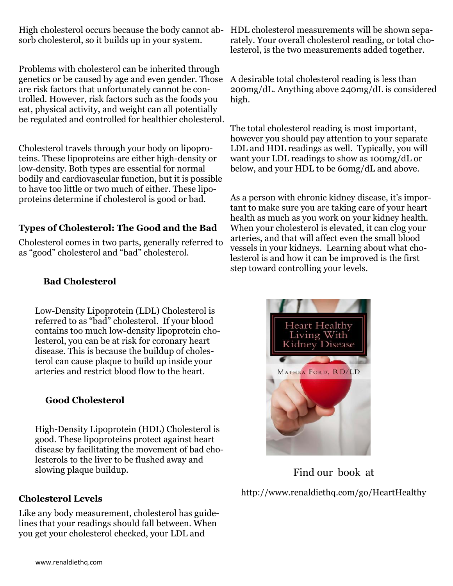High cholesterol occurs because the body cannot ab-HDL cholesterol measurements will be shown sepasorb cholesterol, so it builds up in your system.

Problems with cholesterol can be inherited through genetics or be caused by age and even gender. Those are risk factors that unfortunately cannot be controlled. However, risk factors such as the foods you eat, physical activity, and weight can all potentially be regulated and controlled for healthier cholesterol.

Cholesterol travels through your body on lipoproteins. These lipoproteins are either high-density or low-density. Both types are essential for normal bodily and cardiovascular function, but it is possible to have too little or two much of either. These lipoproteins determine if cholesterol is good or bad.

## **Types of Cholesterol: The Good and the Bad**

Cholesterol comes in two parts, generally referred to as "good" cholesterol and "bad" cholesterol.

## **Bad Cholesterol**

Low-Density Lipoprotein (LDL) Cholesterol is referred to as "bad" cholesterol. If your blood contains too much low-density lipoprotein cholesterol, you can be at risk for coronary heart disease. This is because the buildup of cholesterol can cause plaque to build up inside your arteries and restrict blood flow to the heart.

#### **Good Cholesterol**

High-Density Lipoprotein (HDL) Cholesterol is good. These lipoproteins protect against heart disease by facilitating the movement of bad cholesterols to the liver to be flushed away and slowing plaque buildup.

#### **Cholesterol Levels**

Like any body measurement, cholesterol has guidelines that your readings should fall between. When you get your cholesterol checked, your LDL and

rately. Your overall cholesterol reading, or total cholesterol, is the two measurements added together.

A desirable total cholesterol reading is less than 200mg/dL. Anything above 240mg/dL is considered high.

The total cholesterol reading is most important, however you should pay attention to your separate LDL and HDL readings as well. Typically, you will want your LDL readings to show as 100mg/dL or below, and your HDL to be 60mg/dL and above.

As a person with chronic kidney disease, it's important to make sure you are taking care of your heart health as much as you work on your kidney health. When your cholesterol is elevated, it can clog your arteries, and that will affect even the small blood vessels in your kidneys. Learning about what cholesterol is and how it can be improved is the first step toward controlling your levels.



Find our book at

http://www.renaldiethq.com/go/HeartHealthy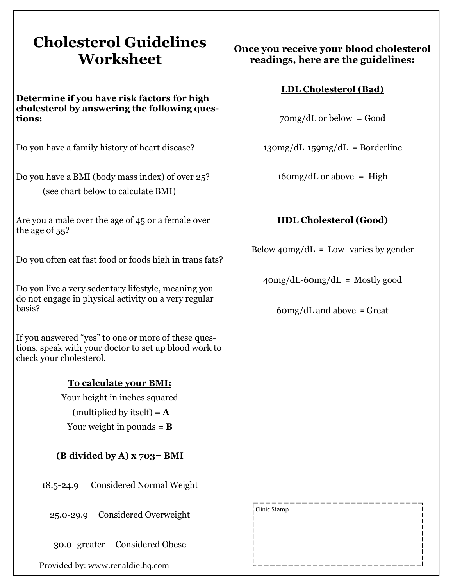## **Cholesterol Guidelines Worksheet**

**Determine if you have risk factors for high cholesterol by answering the following questions:**

Do you have a family history of heart disease?

Do you have a BMI (body mass index) of over 25? (see chart below to calculate BMI)

Are you a male over the age of 45 or a female over the age of 55?

Do you often eat fast food or foods high in trans fats?

Do you live a very sedentary lifestyle, meaning you do not engage in physical activity on a very regular basis?

If you answered "yes" to one or more of these questions, speak with your doctor to set up blood work to check your cholesterol.

## **To calculate your BMI:**

Your height in inches squared

(multiplied by itself)  $=$   $\bf{A}$ 

Your weight in pounds  $=$  **B** 

## **(B divided by A) x 703= BMI**

18.5-24.9 Considered Normal Weight

25.0-29.9 Considered Overweight

30.0- greater Considered Obese

Provided by: www.renaldiethq.com

## **Once you receive your blood cholesterol readings, here are the guidelines:**

## **LDL Cholesterol (Bad)**

 $70mg/dL$  or below = Good

 $130mg/dL - 159mg/dL = Borderline$ 

 $160mg/dL$  or above = High

## **HDL Cholesterol (Good)**

Below  $40mg/dL =$  Low- varies by gender

 $40mg/dL-60mg/dL =$  Mostly good

 $60mg/dL$  and above = Great

Clinic Stamp